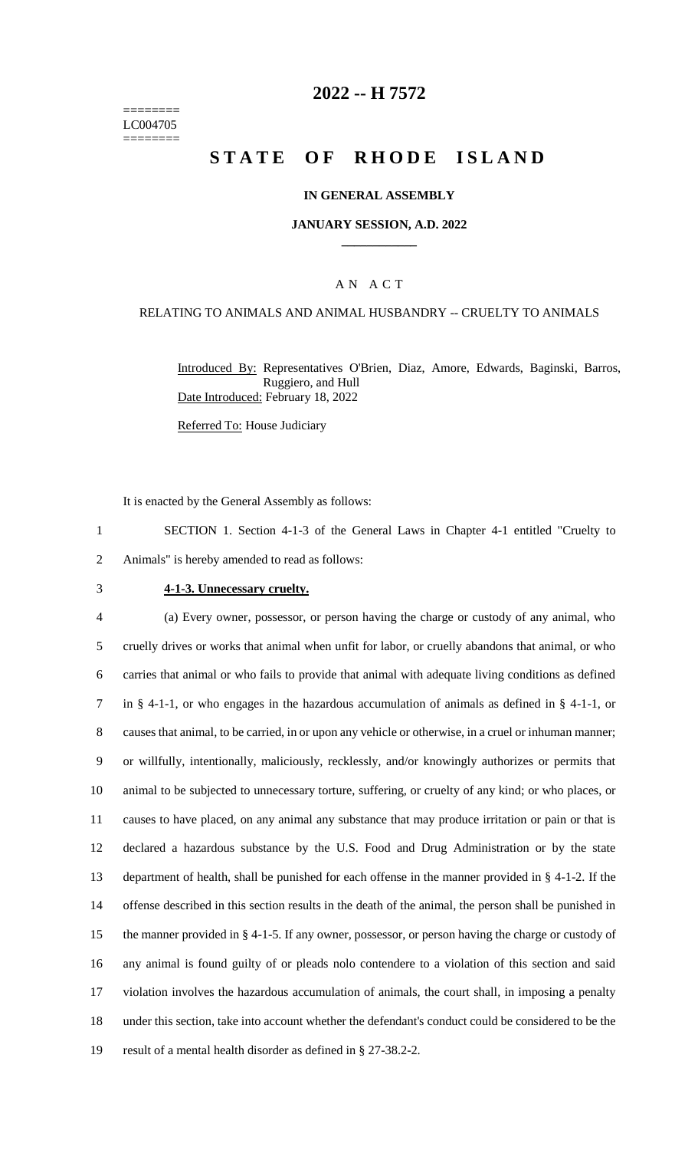======== LC004705 ========

## **2022 -- H 7572**

# **STATE OF RHODE ISLAND**

#### **IN GENERAL ASSEMBLY**

#### **JANUARY SESSION, A.D. 2022 \_\_\_\_\_\_\_\_\_\_\_\_**

### A N A C T

#### RELATING TO ANIMALS AND ANIMAL HUSBANDRY -- CRUELTY TO ANIMALS

Introduced By: Representatives O'Brien, Diaz, Amore, Edwards, Baginski, Barros, Ruggiero, and Hull Date Introduced: February 18, 2022

Referred To: House Judiciary

It is enacted by the General Assembly as follows:

1 SECTION 1. Section 4-1-3 of the General Laws in Chapter 4-1 entitled "Cruelty to 2 Animals" is hereby amended to read as follows:

#### 3 **4-1-3. Unnecessary cruelty.**

 (a) Every owner, possessor, or person having the charge or custody of any animal, who cruelly drives or works that animal when unfit for labor, or cruelly abandons that animal, or who carries that animal or who fails to provide that animal with adequate living conditions as defined in § 4-1-1, or who engages in the hazardous accumulation of animals as defined in § 4-1-1, or causes that animal, to be carried, in or upon any vehicle or otherwise, in a cruel or inhuman manner; or willfully, intentionally, maliciously, recklessly, and/or knowingly authorizes or permits that animal to be subjected to unnecessary torture, suffering, or cruelty of any kind; or who places, or causes to have placed, on any animal any substance that may produce irritation or pain or that is declared a hazardous substance by the U.S. Food and Drug Administration or by the state department of health, shall be punished for each offense in the manner provided in § 4-1-2. If the offense described in this section results in the death of the animal, the person shall be punished in the manner provided in § 4-1-5. If any owner, possessor, or person having the charge or custody of any animal is found guilty of or pleads nolo contendere to a violation of this section and said violation involves the hazardous accumulation of animals, the court shall, in imposing a penalty under this section, take into account whether the defendant's conduct could be considered to be the result of a mental health disorder as defined in § 27-38.2-2.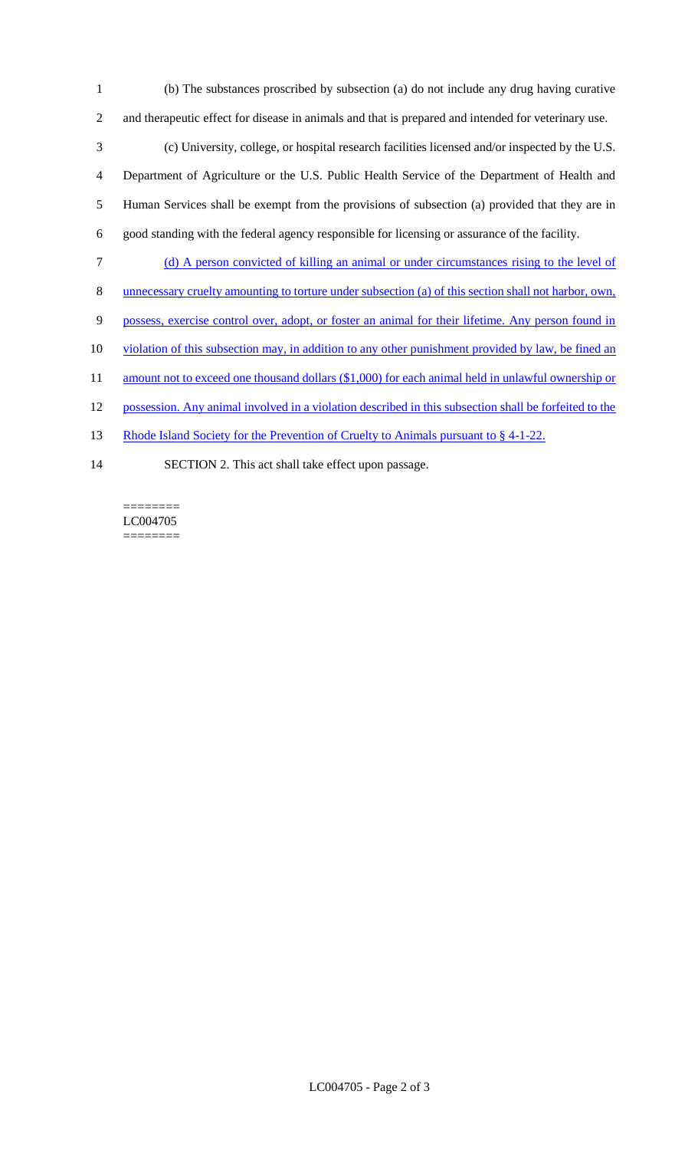- 1 (b) The substances proscribed by subsection (a) do not include any drug having curative 2 and therapeutic effect for disease in animals and that is prepared and intended for veterinary use. 3 (c) University, college, or hospital research facilities licensed and/or inspected by the U.S. 4 Department of Agriculture or the U.S. Public Health Service of the Department of Health and 5 Human Services shall be exempt from the provisions of subsection (a) provided that they are in 6 good standing with the federal agency responsible for licensing or assurance of the facility. 7 (d) A person convicted of killing an animal or under circumstances rising to the level of 8 unnecessary cruelty amounting to torture under subsection (a) of this section shall not harbor, own, 9 possess, exercise control over, adopt, or foster an animal for their lifetime. Any person found in 10 violation of this subsection may, in addition to any other punishment provided by law, be fined an
- 11 amount not to exceed one thousand dollars (\$1,000) for each animal held in unlawful ownership or
- 12 possession. Any animal involved in a violation described in this subsection shall be forfeited to the
- 13 Rhode Island Society for the Prevention of Cruelty to Animals pursuant to § 4-1-22.
- 14 SECTION 2. This act shall take effect upon passage.

======== LC004705 ========